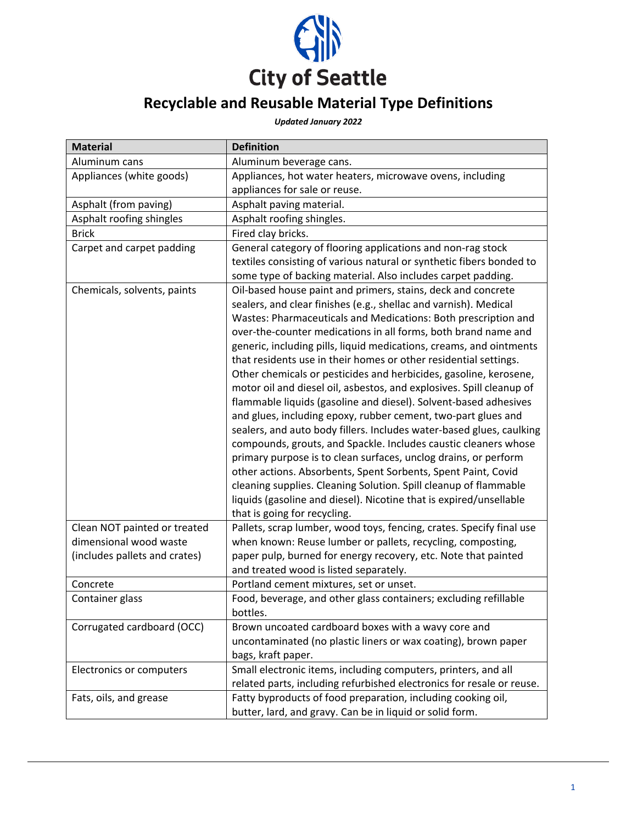

## **Recyclable and Reusable Material Type Definitions**

## *Updated January 2022*

| <b>Material</b>               | <b>Definition</b>                                                                                                                                                                                                                                                                                                                                                                                                                                                                                                                                                                                                                                                                                                                                                                                                                                                                                                                                                                                                                                                                                                                                          |
|-------------------------------|------------------------------------------------------------------------------------------------------------------------------------------------------------------------------------------------------------------------------------------------------------------------------------------------------------------------------------------------------------------------------------------------------------------------------------------------------------------------------------------------------------------------------------------------------------------------------------------------------------------------------------------------------------------------------------------------------------------------------------------------------------------------------------------------------------------------------------------------------------------------------------------------------------------------------------------------------------------------------------------------------------------------------------------------------------------------------------------------------------------------------------------------------------|
| Aluminum cans                 | Aluminum beverage cans.                                                                                                                                                                                                                                                                                                                                                                                                                                                                                                                                                                                                                                                                                                                                                                                                                                                                                                                                                                                                                                                                                                                                    |
| Appliances (white goods)      | Appliances, hot water heaters, microwave ovens, including                                                                                                                                                                                                                                                                                                                                                                                                                                                                                                                                                                                                                                                                                                                                                                                                                                                                                                                                                                                                                                                                                                  |
|                               | appliances for sale or reuse.                                                                                                                                                                                                                                                                                                                                                                                                                                                                                                                                                                                                                                                                                                                                                                                                                                                                                                                                                                                                                                                                                                                              |
| Asphalt (from paving)         | Asphalt paving material.                                                                                                                                                                                                                                                                                                                                                                                                                                                                                                                                                                                                                                                                                                                                                                                                                                                                                                                                                                                                                                                                                                                                   |
| Asphalt roofing shingles      | Asphalt roofing shingles.                                                                                                                                                                                                                                                                                                                                                                                                                                                                                                                                                                                                                                                                                                                                                                                                                                                                                                                                                                                                                                                                                                                                  |
| <b>Brick</b>                  | Fired clay bricks.                                                                                                                                                                                                                                                                                                                                                                                                                                                                                                                                                                                                                                                                                                                                                                                                                                                                                                                                                                                                                                                                                                                                         |
| Carpet and carpet padding     | General category of flooring applications and non-rag stock<br>textiles consisting of various natural or synthetic fibers bonded to<br>some type of backing material. Also includes carpet padding.                                                                                                                                                                                                                                                                                                                                                                                                                                                                                                                                                                                                                                                                                                                                                                                                                                                                                                                                                        |
| Chemicals, solvents, paints   | Oil-based house paint and primers, stains, deck and concrete<br>sealers, and clear finishes (e.g., shellac and varnish). Medical<br>Wastes: Pharmaceuticals and Medications: Both prescription and<br>over-the-counter medications in all forms, both brand name and<br>generic, including pills, liquid medications, creams, and ointments<br>that residents use in their homes or other residential settings.<br>Other chemicals or pesticides and herbicides, gasoline, kerosene,<br>motor oil and diesel oil, asbestos, and explosives. Spill cleanup of<br>flammable liquids (gasoline and diesel). Solvent-based adhesives<br>and glues, including epoxy, rubber cement, two-part glues and<br>sealers, and auto body fillers. Includes water-based glues, caulking<br>compounds, grouts, and Spackle. Includes caustic cleaners whose<br>primary purpose is to clean surfaces, unclog drains, or perform<br>other actions. Absorbents, Spent Sorbents, Spent Paint, Covid<br>cleaning supplies. Cleaning Solution. Spill cleanup of flammable<br>liquids (gasoline and diesel). Nicotine that is expired/unsellable<br>that is going for recycling. |
| Clean NOT painted or treated  | Pallets, scrap lumber, wood toys, fencing, crates. Specify final use                                                                                                                                                                                                                                                                                                                                                                                                                                                                                                                                                                                                                                                                                                                                                                                                                                                                                                                                                                                                                                                                                       |
| dimensional wood waste        | when known: Reuse lumber or pallets, recycling, composting,                                                                                                                                                                                                                                                                                                                                                                                                                                                                                                                                                                                                                                                                                                                                                                                                                                                                                                                                                                                                                                                                                                |
| (includes pallets and crates) | paper pulp, burned for energy recovery, etc. Note that painted                                                                                                                                                                                                                                                                                                                                                                                                                                                                                                                                                                                                                                                                                                                                                                                                                                                                                                                                                                                                                                                                                             |
|                               | and treated wood is listed separately.                                                                                                                                                                                                                                                                                                                                                                                                                                                                                                                                                                                                                                                                                                                                                                                                                                                                                                                                                                                                                                                                                                                     |
| Concrete                      | Portland cement mixtures, set or unset.                                                                                                                                                                                                                                                                                                                                                                                                                                                                                                                                                                                                                                                                                                                                                                                                                                                                                                                                                                                                                                                                                                                    |
| Container glass               | Food, beverage, and other glass containers; excluding refillable<br>bottles.                                                                                                                                                                                                                                                                                                                                                                                                                                                                                                                                                                                                                                                                                                                                                                                                                                                                                                                                                                                                                                                                               |
| Corrugated cardboard (OCC)    | Brown uncoated cardboard boxes with a wavy core and                                                                                                                                                                                                                                                                                                                                                                                                                                                                                                                                                                                                                                                                                                                                                                                                                                                                                                                                                                                                                                                                                                        |
|                               | uncontaminated (no plastic liners or wax coating), brown paper                                                                                                                                                                                                                                                                                                                                                                                                                                                                                                                                                                                                                                                                                                                                                                                                                                                                                                                                                                                                                                                                                             |
|                               | bags, kraft paper.                                                                                                                                                                                                                                                                                                                                                                                                                                                                                                                                                                                                                                                                                                                                                                                                                                                                                                                                                                                                                                                                                                                                         |
| Electronics or computers      | Small electronic items, including computers, printers, and all                                                                                                                                                                                                                                                                                                                                                                                                                                                                                                                                                                                                                                                                                                                                                                                                                                                                                                                                                                                                                                                                                             |
|                               | related parts, including refurbished electronics for resale or reuse.                                                                                                                                                                                                                                                                                                                                                                                                                                                                                                                                                                                                                                                                                                                                                                                                                                                                                                                                                                                                                                                                                      |
| Fats, oils, and grease        | Fatty byproducts of food preparation, including cooking oil,                                                                                                                                                                                                                                                                                                                                                                                                                                                                                                                                                                                                                                                                                                                                                                                                                                                                                                                                                                                                                                                                                               |
|                               | butter, lard, and gravy. Can be in liquid or solid form.                                                                                                                                                                                                                                                                                                                                                                                                                                                                                                                                                                                                                                                                                                                                                                                                                                                                                                                                                                                                                                                                                                   |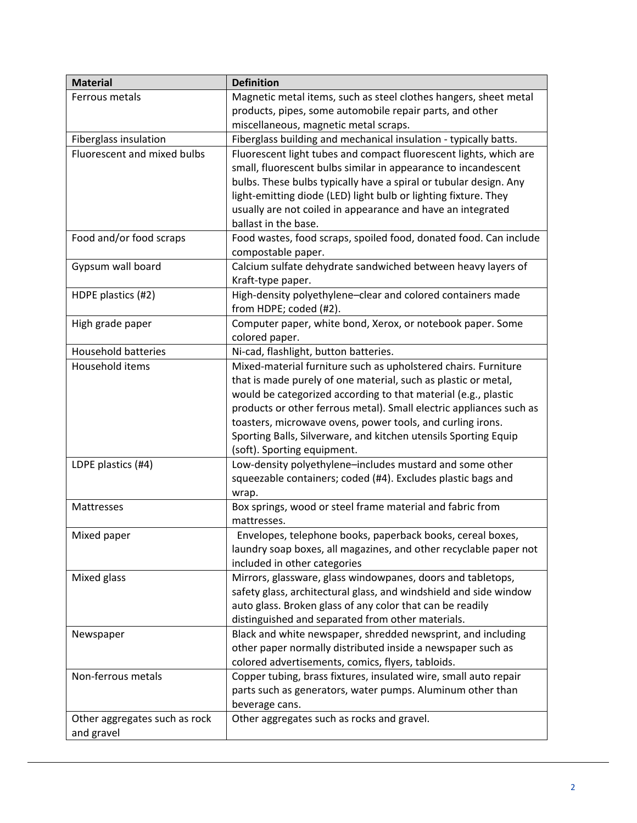| <b>Material</b>               | <b>Definition</b>                                                   |
|-------------------------------|---------------------------------------------------------------------|
| Ferrous metals                | Magnetic metal items, such as steel clothes hangers, sheet metal    |
|                               | products, pipes, some automobile repair parts, and other            |
|                               | miscellaneous, magnetic metal scraps.                               |
| Fiberglass insulation         | Fiberglass building and mechanical insulation - typically batts.    |
| Fluorescent and mixed bulbs   | Fluorescent light tubes and compact fluorescent lights, which are   |
|                               | small, fluorescent bulbs similar in appearance to incandescent      |
|                               | bulbs. These bulbs typically have a spiral or tubular design. Any   |
|                               | light-emitting diode (LED) light bulb or lighting fixture. They     |
|                               | usually are not coiled in appearance and have an integrated         |
|                               | ballast in the base.                                                |
| Food and/or food scraps       | Food wastes, food scraps, spoiled food, donated food. Can include   |
|                               | compostable paper.                                                  |
| Gypsum wall board             | Calcium sulfate dehydrate sandwiched between heavy layers of        |
|                               | Kraft-type paper.                                                   |
| HDPE plastics (#2)            | High-density polyethylene-clear and colored containers made         |
|                               | from HDPE; coded (#2).                                              |
| High grade paper              | Computer paper, white bond, Xerox, or notebook paper. Some          |
|                               | colored paper.                                                      |
| <b>Household batteries</b>    | Ni-cad, flashlight, button batteries.                               |
| Household items               | Mixed-material furniture such as upholstered chairs. Furniture      |
|                               | that is made purely of one material, such as plastic or metal,      |
|                               | would be categorized according to that material (e.g., plastic      |
|                               | products or other ferrous metal). Small electric appliances such as |
|                               | toasters, microwave ovens, power tools, and curling irons.          |
|                               | Sporting Balls, Silverware, and kitchen utensils Sporting Equip     |
|                               | (soft). Sporting equipment.                                         |
| LDPE plastics (#4)            | Low-density polyethylene-includes mustard and some other            |
|                               | squeezable containers; coded (#4). Excludes plastic bags and        |
|                               | wrap.                                                               |
| Mattresses                    | Box springs, wood or steel frame material and fabric from           |
|                               | mattresses.                                                         |
| Mixed paper                   | Envelopes, telephone books, paperback books, cereal boxes,          |
|                               | laundry soap boxes, all magazines, and other recyclable paper not   |
|                               | included in other categories                                        |
| Mixed glass                   | Mirrors, glassware, glass windowpanes, doors and tabletops,         |
|                               | safety glass, architectural glass, and windshield and side window   |
|                               | auto glass. Broken glass of any color that can be readily           |
|                               | distinguished and separated from other materials.                   |
| Newspaper                     | Black and white newspaper, shredded newsprint, and including        |
|                               | other paper normally distributed inside a newspaper such as         |
|                               | colored advertisements, comics, flyers, tabloids.                   |
| Non-ferrous metals            | Copper tubing, brass fixtures, insulated wire, small auto repair    |
|                               | parts such as generators, water pumps. Aluminum other than          |
|                               | beverage cans.                                                      |
| Other aggregates such as rock | Other aggregates such as rocks and gravel.                          |
| and gravel                    |                                                                     |